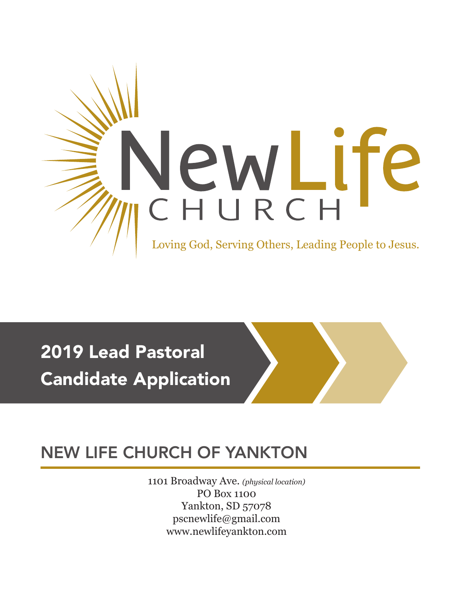

# 2019 Lead Pastoral Candidate Application

# NEW LIFE CHURCH OF YANKTON

1101 Broadway Ave. *(physical location)* PO Box 1100 Yankton, SD 57078 pscnewlife@gmail.com [www.newlifeyankton.com](http://www.newlifeyankton.com)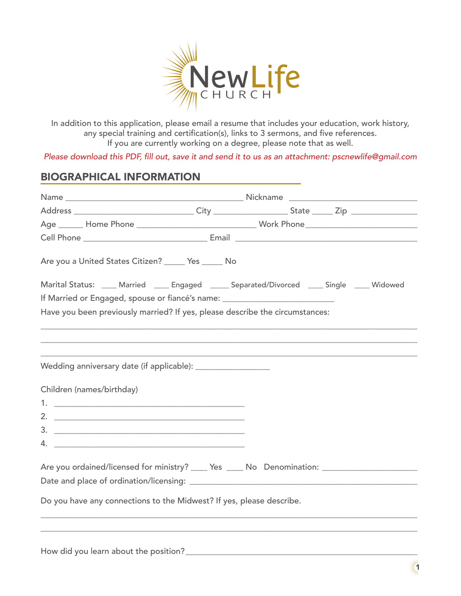

In addition to this application, please email a resume that includes your education, work history, any special training and certification(s), links to 3 sermons, and five references. If you are currently working on a degree, please note that as well.

Please download this PDF, fill out, save it and send it to us as an attachment: pscnewlife@gmail.com

## BIOGRAPHICAL INFORMATION

| Are you a United States Citizen? ______ Yes ______ No                                                                                                                                                                                                                                                                                                                                                                            |  |  |  |  |
|----------------------------------------------------------------------------------------------------------------------------------------------------------------------------------------------------------------------------------------------------------------------------------------------------------------------------------------------------------------------------------------------------------------------------------|--|--|--|--|
| Marital Status: ____ Married ____ Engaged _____ Separated/Divorced ____ Single ____ Widowed                                                                                                                                                                                                                                                                                                                                      |  |  |  |  |
| If Married or Engaged, spouse or fiancé's name: ________________________________                                                                                                                                                                                                                                                                                                                                                 |  |  |  |  |
| Have you been previously married? If yes, please describe the circumstances:                                                                                                                                                                                                                                                                                                                                                     |  |  |  |  |
|                                                                                                                                                                                                                                                                                                                                                                                                                                  |  |  |  |  |
|                                                                                                                                                                                                                                                                                                                                                                                                                                  |  |  |  |  |
|                                                                                                                                                                                                                                                                                                                                                                                                                                  |  |  |  |  |
| Wedding anniversary date (if applicable): ____________________                                                                                                                                                                                                                                                                                                                                                                   |  |  |  |  |
|                                                                                                                                                                                                                                                                                                                                                                                                                                  |  |  |  |  |
| Children (names/birthday)                                                                                                                                                                                                                                                                                                                                                                                                        |  |  |  |  |
| 1. $\overline{\phantom{a}}$ 1. $\overline{\phantom{a}}$ 1. $\overline{\phantom{a}}$ 1. $\overline{\phantom{a}}$ 1. $\overline{\phantom{a}}$ 1. $\overline{\phantom{a}}$ 1. $\overline{\phantom{a}}$ 1. $\overline{\phantom{a}}$ 1. $\overline{\phantom{a}}$ 1. $\overline{\phantom{a}}$ 1. $\overline{\phantom{a}}$ 1. $\overline{\phantom{a}}$ 1. $\overline{\phantom{a}}$ 1. $\overline{\phantom{a}}$ 1. $\overline{\phantom{$ |  |  |  |  |
|                                                                                                                                                                                                                                                                                                                                                                                                                                  |  |  |  |  |
|                                                                                                                                                                                                                                                                                                                                                                                                                                  |  |  |  |  |
|                                                                                                                                                                                                                                                                                                                                                                                                                                  |  |  |  |  |
|                                                                                                                                                                                                                                                                                                                                                                                                                                  |  |  |  |  |
| Are you ordained/licensed for ministry? _____ Yes _____ No Denomination: __________________________                                                                                                                                                                                                                                                                                                                              |  |  |  |  |
|                                                                                                                                                                                                                                                                                                                                                                                                                                  |  |  |  |  |
| Do you have any connections to the Midwest? If yes, please describe.                                                                                                                                                                                                                                                                                                                                                             |  |  |  |  |
|                                                                                                                                                                                                                                                                                                                                                                                                                                  |  |  |  |  |
|                                                                                                                                                                                                                                                                                                                                                                                                                                  |  |  |  |  |
|                                                                                                                                                                                                                                                                                                                                                                                                                                  |  |  |  |  |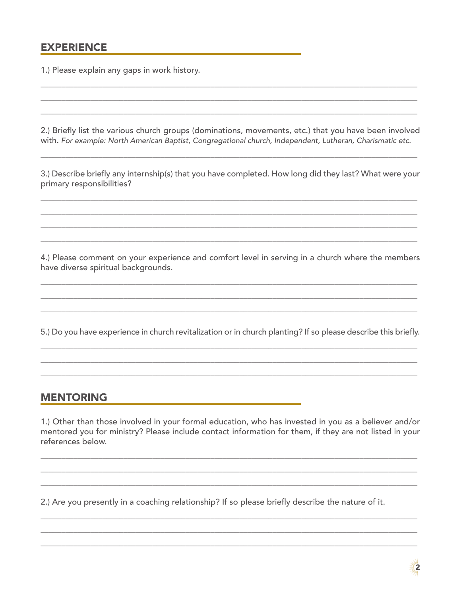#### **EXPERIENCE**

1.) Please explain any gaps in work history.

2.) Briefly list the various church groups (dominations, movements, etc.) that you have been involved with. For example: North American Baptist, Congregational church, Independent, Lutheran, Charismatic etc.

3.) Describe briefly any internship(s) that you have completed. How long did they last? What were your primary responsibilities?

4.) Please comment on your experience and comfort level in serving in a church where the members have diverse spiritual backgrounds.

5.) Do you have experience in church revitalization or in church planting? If so please describe this briefly.

#### **MENTORING**

1.) Other than those involved in your formal education, who has invested in you as a believer and/or mentored you for ministry? Please include contact information for them, if they are not listed in your references below.

2.) Are you presently in a coaching relationship? If so please briefly describe the nature of it.